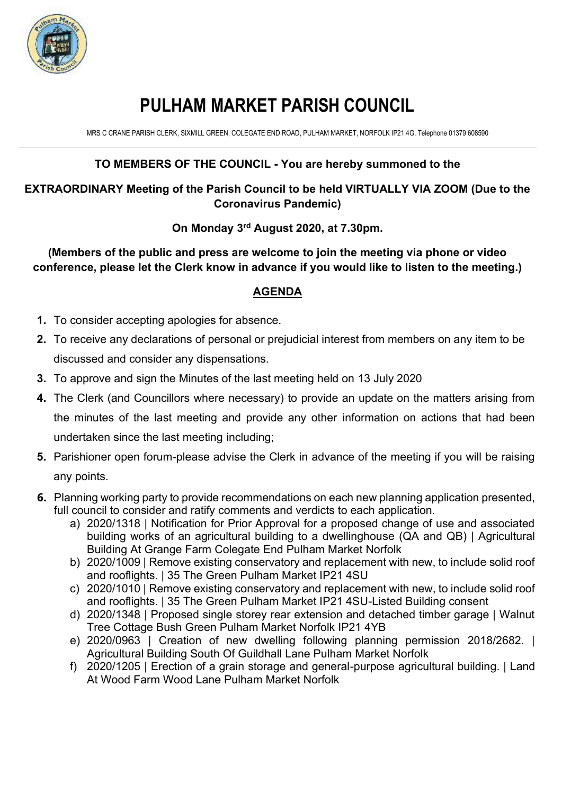

# **PULHAM MARKET PARISH COUNCIL**

MRS C CRANE PARISH CLERK, SIXMILL GREEN, COLEGATE END ROAD, PULHAM MARKET, NORFOLK IP21 4G, Telephone 01379 608590

## **TO MEMBERS OF THE COUNCIL - You are hereby summoned to the**

#### **EXTRAORDINARY Meeting of the Parish Council to be held VIRTUALLY VIA ZOOM (Due to the Coronavirus Pandemic)**

#### **On Monday 3 rd August 2020, at 7.30pm.**

**(Members of the public and press are welcome to join the meeting via phone or video conference, please let the Clerk know in advance if you would like to listen to the meeting.)** 

### **AGENDA**

- **1.** To consider accepting apologies for absence.
- **2.** To receive any declarations of personal or prejudicial interest from members on any item to be discussed and consider any dispensations.
- **3.** To approve and sign the Minutes of the last meeting held on 13 July 2020
- **4.** The Clerk (and Councillors where necessary) to provide an update on the matters arising from the minutes of the last meeting and provide any other information on actions that had been undertaken since the last meeting including;
- **5.** Parishioner open forum-please advise the Clerk in advance of the meeting if you will be raising any points.
- **6.** Planning working party to provide recommendations on each new planning application presented, full council to consider and ratify comments and verdicts to each application.
	- a) 2020/1318 | Notification for Prior Approval for a proposed change of use and associated building works of an agricultural building to a dwellinghouse (QA and QB) | Agricultural Building At Grange Farm Colegate End Pulham Market Norfolk
	- b) 2020/1009 | Remove existing conservatory and replacement with new, to include solid roof and rooflights. | 35 The Green Pulham Market IP21 4SU
	- c) 2020/1010 | Remove existing conservatory and replacement with new, to include solid roof and rooflights. | 35 The Green Pulham Market IP21 4SU-Listed Building consent
	- d) 2020/1348 | Proposed single storey rear extension and detached timber garage | Walnut Tree Cottage Bush Green Pulham Market Norfolk IP21 4YB
	- e) 2020/0963 | Creation of new dwelling following planning permission 2018/2682. | Agricultural Building South Of Guildhall Lane Pulham Market Norfolk
	- f) 2020/1205 | Erection of a grain storage and general-purpose agricultural building. | Land At Wood Farm Wood Lane Pulham Market Norfolk